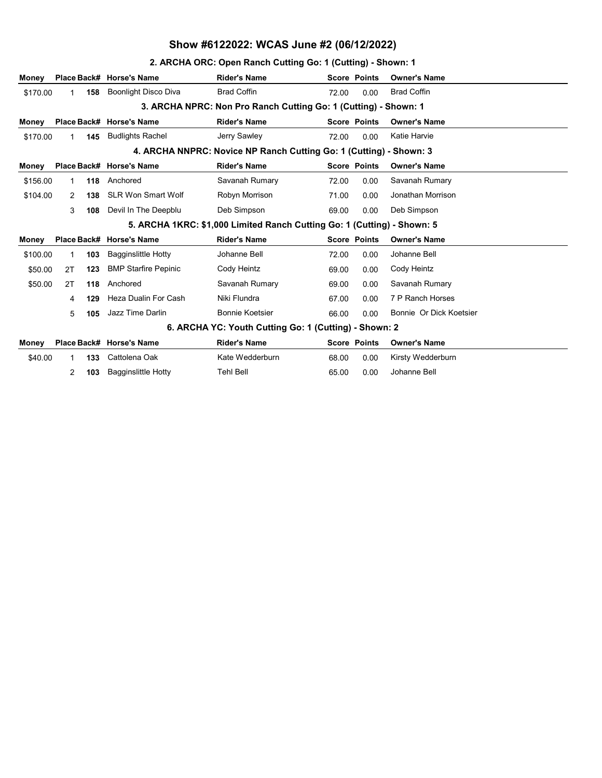## 2. ARCHA ORC: Open Ranch Cutting Go: 1 (Cutting) - Shown: 1

| Money                                                                   |  |           | Place Back# Horse's Name    | <b>Rider's Name</b>    |       | <b>Score Points</b> | <b>Owner's Name</b>     |  |  |
|-------------------------------------------------------------------------|--|-----------|-----------------------------|------------------------|-------|---------------------|-------------------------|--|--|
| \$170.00                                                                |  | 158<br>1  | Boonlight Disco Diva        | <b>Brad Coffin</b>     | 72.00 | 0.00                | <b>Brad Coffin</b>      |  |  |
| 3. ARCHA NPRC: Non Pro Ranch Cutting Go: 1 (Cutting) - Shown: 1         |  |           |                             |                        |       |                     |                         |  |  |
| Money                                                                   |  |           | Place Back# Horse's Name    | <b>Rider's Name</b>    |       | <b>Score Points</b> | <b>Owner's Name</b>     |  |  |
| \$170.00                                                                |  | 145<br>1  | <b>Budlights Rachel</b>     | Jerry Sawley           | 72.00 | 0.00                | Katie Harvie            |  |  |
| 4. ARCHA NNPRC: Novice NP Ranch Cutting Go: 1 (Cutting) - Shown: 3      |  |           |                             |                        |       |                     |                         |  |  |
| Money                                                                   |  |           | Place Back# Horse's Name    | <b>Rider's Name</b>    |       | <b>Score Points</b> | <b>Owner's Name</b>     |  |  |
| \$156.00                                                                |  | 118<br>1  | Anchored                    | Savanah Rumary         | 72.00 | 0.00                | Savanah Rumary          |  |  |
| \$104.00                                                                |  | 138<br>2  | <b>SLR Won Smart Wolf</b>   | Robyn Morrison         | 71.00 | 0.00                | Jonathan Morrison       |  |  |
|                                                                         |  | 3<br>108  | Devil In The Deepblu        | Deb Simpson            | 69.00 | 0.00                | Deb Simpson             |  |  |
| 5. ARCHA 1KRC: \$1,000 Limited Ranch Cutting Go: 1 (Cutting) - Shown: 5 |  |           |                             |                        |       |                     |                         |  |  |
| Money                                                                   |  |           | Place Back# Horse's Name    | <b>Rider's Name</b>    |       | <b>Score Points</b> | <b>Owner's Name</b>     |  |  |
| \$100.00                                                                |  | 103       | <b>Bagginslittle Hotty</b>  | Johanne Bell           | 72.00 | 0.00                | Johanne Bell            |  |  |
| \$50.00                                                                 |  | 123<br>2T | <b>BMP Starfire Pepinic</b> | Cody Heintz            | 69.00 | 0.00                | Cody Heintz             |  |  |
| \$50.00                                                                 |  | 118<br>2T | Anchored                    | Savanah Rumary         | 69.00 | 0.00                | Savanah Rumary          |  |  |
|                                                                         |  | 129<br>4  | Heza Dualin For Cash        | Niki Flundra           | 67.00 | 0.00                | 7 P Ranch Horses        |  |  |
|                                                                         |  | 5<br>105  | Jazz Time Darlin            | <b>Bonnie Koetsier</b> | 66.00 | 0.00                | Bonnie Or Dick Koetsier |  |  |
| 6. ARCHA YC: Youth Cutting Go: 1 (Cutting) - Shown: 2                   |  |           |                             |                        |       |                     |                         |  |  |
| Money                                                                   |  |           | Place Back# Horse's Name    | <b>Rider's Name</b>    |       | <b>Score Points</b> | <b>Owner's Name</b>     |  |  |
| \$40.00                                                                 |  | 133<br>1  | Cattolena Oak               | Kate Wedderburn        | 68.00 | 0.00                | Kirsty Wedderburn       |  |  |
|                                                                         |  | 2<br>103  | <b>Bagginslittle Hotty</b>  | <b>Tehl Bell</b>       | 65.00 | 0.00                | Johanne Bell            |  |  |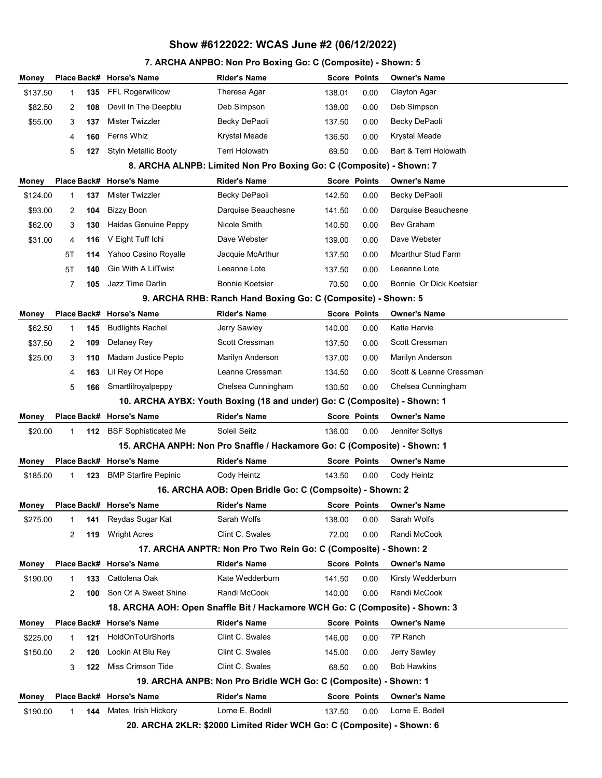# Money Place Back# Horse's Name 
(Rider's Name Score Points Owner's Name Score Points Score Internal Property Name \$137.50 1 135 FFL Rogerwillcow Theresa Agar 138.01 0.00 Clayton Agar \$82.50 2 108 Devil In The Deepblu Deb Simpson 138.00 0.00 Deb Simpson \$55.00 3 137 Mister Twizzler **Becky DePaoli** 137.50 0.00 Becky DePaoli 4 **160** Ferns Whiz **136.50 COVERS** Krystal Meade 136.50 0.00 Krystal Meade 5 127 Styln Metallic Booty Terri Holowath 69.50 0.00 Bart & Terri Holowath 8. ARCHA ALNPB: Limited Non Pro Boxing Go: C (Composite) - Shown: 7 Money Place Back# Horse's Name **Rider's Name** Score Points Owner's Name \$124.00 1 137 Mister Twizzler Becky DePaoli 142.50 0.00 Becky DePaoli \$93.00 2 104 Bizzy Boon **Darquise Beauchesne** 141.50 0.00 Darquise Beauchesne \$62.00 3 130 Haidas Genuine Peppy Nicole Smith 140.50 0.00 Bev Graham \$31.00 4 116 V Eight Tuff Ichi Dave Webster 139.00 0.00 Dave Webster 5T 114 Yahoo Casino Royalle Jacquie McArthur 137.50 0.00 Mcarthur Stud Farm 5T 140 Gin With A LilTwist Leeanne Lote 137.50 0.00 Leeanne Lote 7 105 Jazz Time Darlin Bonnie Koetsier 70.50 0.00 Bonnie Or Dick Koetsier 9. ARCHA RHB: Ranch Hand Boxing Go: C (Composite) - Shown: 5 Money Place Back# Horse's Name **Rider's Name** Score Points Owner's Name \$62.50 1 145 Budlights Rachel Jerry Sawley 140.00 0.00 Katie Harvie \$37.50 2 109 Delaney Rey Scott Cressman 137.50 0.00 Scott Cressman \$25.00 0.00 3 110 Madam Justice Pepto Marilyn Anderson 137.00 Marilyn Anderson 4 163 Lil Rey Of Hope Leanne Cressman 134.50 0.00 Scott & Leanne Cressman 5 166 Smartlilroyalpeppy Chelsea Cunningham 130.50 0.00 Chelsea Cunningham 10. ARCHA AYBX: Youth Boxing (18 and under) Go: C (Composite) - Shown: 1 Money Place Back# Horse's Name **Rider's Name** Score Points Owner's Name \$20.00 1 112 BSF Sophisticated Me Soleil Seitz 136.00 0.00 Jennifer Soltys 15. ARCHA ANPH: Non Pro Snaffle / Hackamore Go: C (Composite) - Shown: 1 Money Place Back# Horse's Name **Rider's Name** Score Points Owner's Name \$185.00 1 123 BMP Starfire Pepinic Cody Heintz 143.50 0.00 Cody Heintz 16. ARCHA AOB: Open Bridle Go: C (Compsoite) - Shown: 2 Money Place Back# Horse's Name **Rider's Name** Score Points Owner's Name \$275.00 1 141 Reydas Sugar Kat Sarah Wolfs 138.00 0.00 Sarah Wolfs 2 119 Wright Acres **Clint C. Swales** 72.00 0.00 Randi McCook 17. ARCHA ANPTR: Non Pro Two Rein Go: C (Composite) - Shown: 2 Money Points Place Back# Horse's Name Rider's Name Score Owner's Name \$190.00 1 133 Cattolena Oak Kate Wedderburn 141.50 0.00 Kirsty Wedderburn 2 **100** Son Of A Sweet Shine Randi McCook 140.00 0.00 Randi McCook 18. ARCHA AOH: Open Snaffle Bit / Hackamore WCH Go: C (Composite) - Shown: 3 Money Place Back# Horse's Name **Rider's Name Score Points** Owner's Name \$225.00 1 **121** HoldOnToUrShorts Clint C. Swales 146.00 0.00 7P Ranch \$150.00 2 120 Lookin At Blu Rey Clint C. Swales 145.00 0.00 Jerry Sawley 3 122 Miss Crimson Tide Clint C. Swales 68.50 0.00 Bob Hawkins 19. ARCHA ANPB: Non Pro Bridle WCH Go: C (Composite) - Shown: 1 Money Place Back# Horse's Name **Rider's Name** Score Points Owner's Name \$190.00 1 144 Mates Irish Hickory Lorne E. Bodell 137.50 0.00 Lorne E. Bodell

7. ARCHA ANPBO: Non Pro Boxing Go: C (Composite) - Shown: 5

20. ARCHA 2KLR: \$2000 Limited Rider WCH Go: C (Composite) - Shown: 6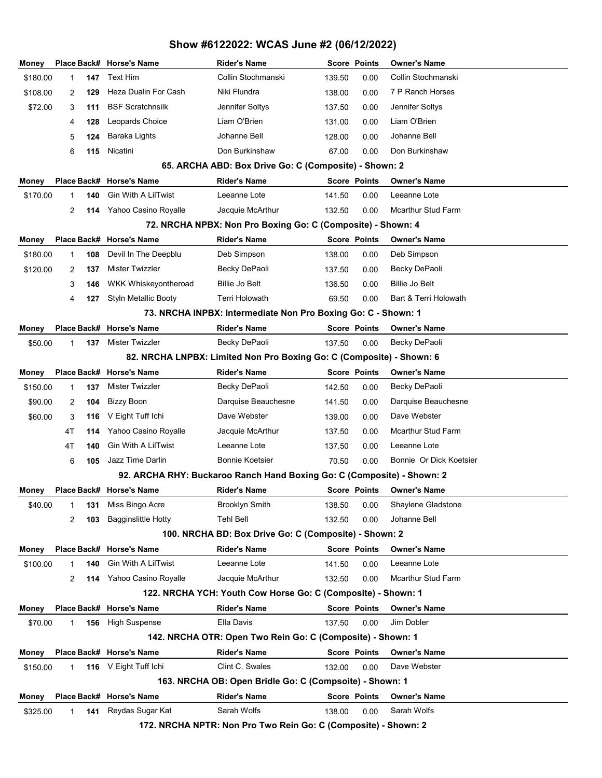| Money                                                        |                                                                      |     | Place Back# Horse's Name    | <b>Rider's Name</b>                                                    |        | <b>Score Points</b> | Owner's Name              |  |  |  |
|--------------------------------------------------------------|----------------------------------------------------------------------|-----|-----------------------------|------------------------------------------------------------------------|--------|---------------------|---------------------------|--|--|--|
| \$180.00                                                     | 1                                                                    | 147 | Text Him                    | Collin Stochmanski                                                     | 139.50 | 0.00                | Collin Stochmanski        |  |  |  |
| \$108.00                                                     | 2                                                                    | 129 | Heza Dualin For Cash        | Niki Flundra                                                           | 138.00 | 0.00                | 7 P Ranch Horses          |  |  |  |
| \$72.00                                                      | 3                                                                    | 111 | <b>BSF Scratchnsilk</b>     | Jennifer Soltys                                                        | 137.50 | 0.00                | Jennifer Soltys           |  |  |  |
|                                                              | 4                                                                    | 128 | Leopards Choice             | Liam O'Brien                                                           | 131.00 | 0.00                | Liam O'Brien              |  |  |  |
|                                                              | 5                                                                    | 124 | Baraka Lights               | Johanne Bell                                                           | 128.00 | 0.00                | Johanne Bell              |  |  |  |
|                                                              | 6                                                                    | 115 | Nicatini                    | Don Burkinshaw                                                         | 67.00  | 0.00                | Don Burkinshaw            |  |  |  |
|                                                              | 65. ARCHA ABD: Box Drive Go: C (Composite) - Shown: 2                |     |                             |                                                                        |        |                     |                           |  |  |  |
| Money                                                        |                                                                      |     | Place Back# Horse's Name    | <b>Rider's Name</b>                                                    |        | <b>Score Points</b> | <b>Owner's Name</b>       |  |  |  |
| \$170.00                                                     | 1                                                                    | 140 | <b>Gin With A LilTwist</b>  | Leeanne Lote                                                           | 141.50 | 0.00                | Leeanne Lote              |  |  |  |
|                                                              | 2                                                                    | 114 | Yahoo Casino Royalle        | Jacquie McArthur                                                       | 132.50 | 0.00                | <b>Mcarthur Stud Farm</b> |  |  |  |
|                                                              | 72. NRCHA NPBX: Non Pro Boxing Go: C (Composite) - Shown: 4          |     |                             |                                                                        |        |                     |                           |  |  |  |
| Money                                                        |                                                                      |     | Place Back# Horse's Name    | <b>Rider's Name</b>                                                    |        | <b>Score Points</b> | <b>Owner's Name</b>       |  |  |  |
| \$180.00                                                     | 1                                                                    | 108 | Devil In The Deepblu        | Deb Simpson                                                            | 138.00 | 0.00                | Deb Simpson               |  |  |  |
| \$120.00                                                     | 2                                                                    | 137 | <b>Mister Twizzler</b>      | Becky DePaoli                                                          | 137.50 | 0.00                | Becky DePaoli             |  |  |  |
|                                                              | 3                                                                    | 146 | <b>WKK Whiskeyontheroad</b> | <b>Billie Jo Belt</b>                                                  | 136.50 | 0.00                | <b>Billie Jo Belt</b>     |  |  |  |
|                                                              | 4                                                                    | 127 | Styln Metallic Booty        | <b>Terri Holowath</b>                                                  | 69.50  | 0.00                | Bart & Terri Holowath     |  |  |  |
|                                                              | 73. NRCHA INPBX: Intermediate Non Pro Boxing Go: C - Shown: 1        |     |                             |                                                                        |        |                     |                           |  |  |  |
| Money                                                        |                                                                      |     | Place Back# Horse's Name    | <b>Rider's Name</b>                                                    |        | <b>Score Points</b> | <b>Owner's Name</b>       |  |  |  |
| \$50.00                                                      | 1                                                                    | 137 | Mister Twizzler             | Becky DePaoli                                                          | 137.50 | 0.00                | Becky DePaoli             |  |  |  |
|                                                              | 82. NRCHA LNPBX: Limited Non Pro Boxing Go: C (Composite) - Shown: 6 |     |                             |                                                                        |        |                     |                           |  |  |  |
| Money                                                        |                                                                      |     | Place Back# Horse's Name    | <b>Rider's Name</b>                                                    |        | <b>Score Points</b> | <b>Owner's Name</b>       |  |  |  |
| \$150.00                                                     | 1                                                                    | 137 | <b>Mister Twizzler</b>      | Becky DePaoli                                                          | 142.50 | 0.00                | Becky DePaoli             |  |  |  |
| \$90.00                                                      | 2                                                                    | 104 | Bizzy Boon                  | Darquise Beauchesne                                                    | 141.50 | 0.00                | Darquise Beauchesne       |  |  |  |
| \$60.00                                                      | 3                                                                    | 116 | V Eight Tuff Ichi           | Dave Webster                                                           | 139.00 | 0.00                | Dave Webster              |  |  |  |
|                                                              | 4T                                                                   | 114 | Yahoo Casino Royalle        | Jacquie McArthur                                                       | 137.50 | 0.00                | <b>Mcarthur Stud Farm</b> |  |  |  |
|                                                              | 4T                                                                   | 140 | <b>Gin With A LilTwist</b>  | Leeanne Lote                                                           | 137.50 | 0.00                | Leeanne Lote              |  |  |  |
|                                                              | 6                                                                    | 105 | Jazz Time Darlin            | <b>Bonnie Koetsier</b>                                                 | 70.50  | 0.00                | Bonnie Or Dick Koetsier   |  |  |  |
|                                                              |                                                                      |     |                             | 92. ARCHA RHY: Buckaroo Ranch Hand Boxing Go: C (Composite) - Shown: 2 |        |                     |                           |  |  |  |
| Money                                                        |                                                                      |     | Place Back# Horse's Name    | Rider's Name                                                           |        | <b>Score Points</b> | <b>Owner's Name</b>       |  |  |  |
| \$40.00                                                      | 1                                                                    | 131 | Miss Bingo Acre             | <b>Brooklyn Smith</b>                                                  | 138.50 | 0.00                | Shaylene Gladstone        |  |  |  |
|                                                              | 2                                                                    | 103 | <b>Bagginslittle Hotty</b>  | <b>Tehl Bell</b>                                                       | 132.50 | 0.00                | Johanne Bell              |  |  |  |
| 100. NRCHA BD: Box Drive Go: C (Composite) - Shown: 2        |                                                                      |     |                             |                                                                        |        |                     |                           |  |  |  |
| <b>Money</b>                                                 |                                                                      |     | Place Back# Horse's Name    | <b>Rider's Name</b>                                                    |        | <b>Score Points</b> | <b>Owner's Name</b>       |  |  |  |
| \$100.00                                                     | 1                                                                    | 140 | Gin With A LilTwist         | Leeanne Lote                                                           | 141.50 | 0.00                | Leeanne Lote              |  |  |  |
|                                                              | 2                                                                    | 114 | Yahoo Casino Royalle        | Jacquie McArthur                                                       | 132.50 | 0.00                | Mcarthur Stud Farm        |  |  |  |
| 122. NRCHA YCH: Youth Cow Horse Go: C (Composite) - Shown: 1 |                                                                      |     |                             |                                                                        |        |                     |                           |  |  |  |
| Money                                                        |                                                                      |     | Place Back# Horse's Name    | <b>Rider's Name</b>                                                    |        | <b>Score Points</b> | <b>Owner's Name</b>       |  |  |  |
| \$70.00                                                      | 1                                                                    | 156 | <b>High Suspense</b>        | Ella Davis                                                             | 137.50 | 0.00                | Jim Dobler                |  |  |  |
|                                                              | 142. NRCHA OTR: Open Two Rein Go: C (Composite) - Shown: 1           |     |                             |                                                                        |        |                     |                           |  |  |  |
| Money                                                        |                                                                      |     | Place Back# Horse's Name    | <b>Rider's Name</b>                                                    |        | <b>Score Points</b> | <b>Owner's Name</b>       |  |  |  |
| \$150.00                                                     | 1                                                                    |     | 116 V Eight Tuff Ichi       | Clint C. Swales                                                        | 132.00 | 0.00                | Dave Webster              |  |  |  |
| 163. NRCHA OB: Open Bridle Go: C (Compsoite) - Shown: 1      |                                                                      |     |                             |                                                                        |        |                     |                           |  |  |  |
| Money                                                        |                                                                      |     | Place Back# Horse's Name    | <b>Rider's Name</b>                                                    |        | <b>Score Points</b> | <b>Owner's Name</b>       |  |  |  |
| \$325.00                                                     | 1                                                                    | 141 | Reydas Sugar Kat            | Sarah Wolfs                                                            | 138.00 | 0.00                | Sarah Wolfs               |  |  |  |

172. NRCHA NPTR: Non Pro Two Rein Go: C (Composite) - Shown: 2